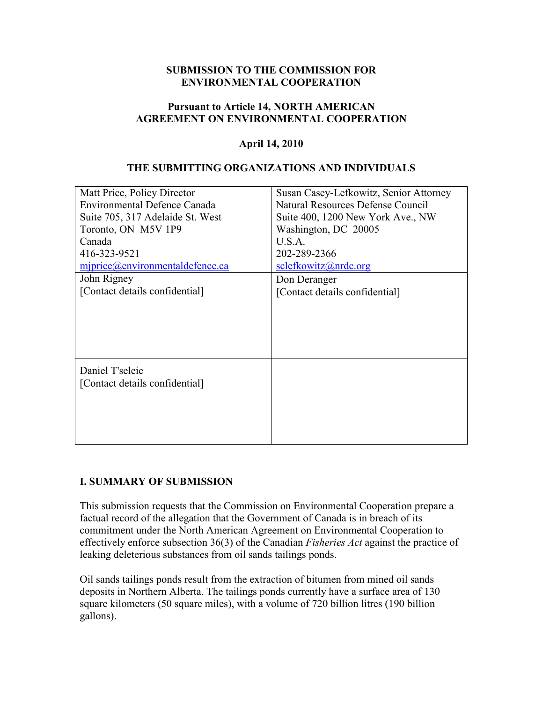#### **SUBMISSION TO THE COMMISSION FOR ENVIRONMENTAL COOPERATION**

#### **Pursuant to Article 14, NORTH AMERICAN AGREEMENT ON ENVIRONMENTAL COOPERATION**

#### **April 14, 2010**

#### **THE SUBMITTING ORGANIZATIONS AND INDIVIDUALS**

| Matt Price, Policy Director         | Susan Casey-Lefkowitz, Senior Attorney |
|-------------------------------------|----------------------------------------|
| <b>Environmental Defence Canada</b> | Natural Resources Defense Council      |
| Suite 705, 317 Adelaide St. West    | Suite 400, 1200 New York Ave., NW      |
| Toronto, ON M5V 1P9                 | Washington, DC 20005                   |
| Canada                              | U.S.A.                                 |
| 416-323-9521                        | 202-289-2366                           |
| miprice@environmental definece.ca   | selectkowitz@nrdc.org                  |
| John Rigney                         | Don Deranger                           |
| [Contact details confidential]      | [Contact details confidential]         |
|                                     |                                        |
|                                     |                                        |
|                                     |                                        |
|                                     |                                        |
|                                     |                                        |
| Daniel T'seleie                     |                                        |
| [Contact details confidential]      |                                        |
|                                     |                                        |
|                                     |                                        |
|                                     |                                        |
|                                     |                                        |
|                                     |                                        |

#### **I. SUMMARY OF SUBMISSION**

This submission requests that the Commission on Environmental Cooperation prepare a factual record of the allegation that the Government of Canada is in breach of its commitment under the North American Agreement on Environmental Cooperation to effectively enforce subsection 36(3) of the Canadian *Fisheries Act* against the practice of leaking deleterious substances from oil sands tailings ponds.

Oil sands tailings ponds result from the extraction of bitumen from mined oil sands deposits in Northern Alberta. The tailings ponds currently have a surface area of 130 square kilometers (50 square miles), with a volume of 720 billion litres (190 billion gallons).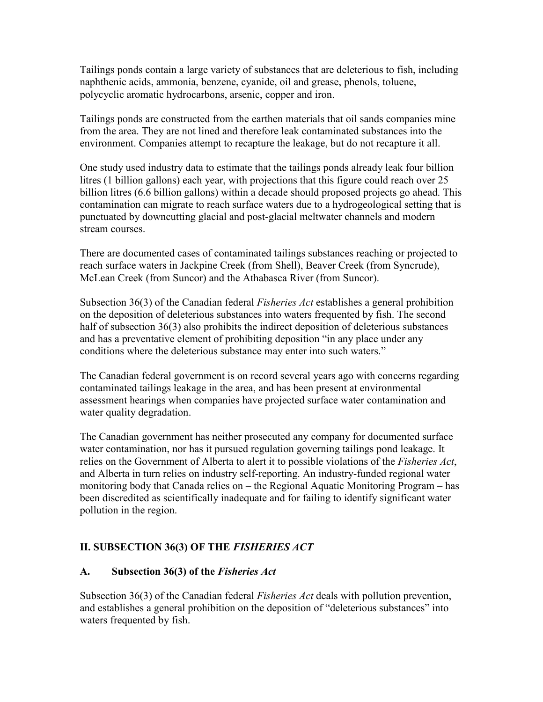Tailings ponds contain a large variety of substances that are deleterious to fish, including naphthenic acids, ammonia, benzene, cyanide, oil and grease, phenols, toluene, polycyclic aromatic hydrocarbons, arsenic, copper and iron.

Tailings ponds are constructed from the earthen materials that oil sands companies mine from the area. They are not lined and therefore leak contaminated substances into the environment. Companies attempt to recapture the leakage, but do not recapture it all.

One study used industry data to estimate that the tailings ponds already leak four billion litres (1 billion gallons) each year, with projections that this figure could reach over 25 billion litres (6.6 billion gallons) within a decade should proposed projects go ahead. This contamination can migrate to reach surface waters due to a hydrogeological setting that is punctuated by downcutting glacial and post-glacial meltwater channels and modern stream courses.

There are documented cases of contaminated tailings substances reaching or projected to reach surface waters in Jackpine Creek (from Shell), Beaver Creek (from Syncrude), McLean Creek (from Suncor) and the Athabasca River (from Suncor).

Subsection 36(3) of the Canadian federal *Fisheries Act* establishes a general prohibition on the deposition of deleterious substances into waters frequented by fish. The second half of subsection 36(3) also prohibits the indirect deposition of deleterious substances and has a preventative element of prohibiting deposition "in any place under any conditions where the deleterious substance may enter into such waters."

The Canadian federal government is on record several years ago with concerns regarding contaminated tailings leakage in the area, and has been present at environmental assessment hearings when companies have projected surface water contamination and water quality degradation.

The Canadian government has neither prosecuted any company for documented surface water contamination, nor has it pursued regulation governing tailings pond leakage. It relies on the Government of Alberta to alert it to possible violations of the *Fisheries Act*, and Alberta in turn relies on industry self-reporting. An industry-funded regional water monitoring body that Canada relies on – the Regional Aquatic Monitoring Program – has been discredited as scientifically inadequate and for failing to identify significant water pollution in the region.

# **II. SUBSECTION 36(3) OF THE** *FISHERIES ACT*

## **A. Subsection 36(3) of the** *Fisheries Act*

Subsection 36(3) of the Canadian federal *Fisheries Act* deals with pollution prevention, and establishes a general prohibition on the deposition of "deleterious substances" into waters frequented by fish.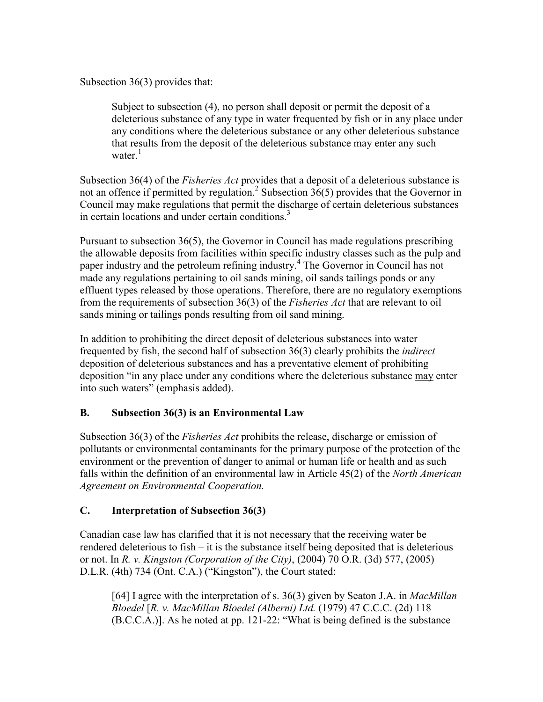Subsection 36(3) provides that:

Subject to subsection (4), no person shall deposit or permit the deposit of a deleterious substance of any type in water frequented by fish or in any place under any conditions where the deleterious substance or any other deleterious substance that results from the deposit of the deleterious substance may enter any such water<sup>[1](#page-13-0)</sup>

Subsection 36(4) of the *Fisheries Act* provides that a deposit of a deleterious substance is not an offence if permitted by regulatio[n.](#page-13-0)<sup>2</sup> Subsection  $36(5)$  provides that the Governor in Council may make regulations that permit the discharge of certain deleterious substances in certain locations and under certain condition[s.](#page-13-0) $3$ 

Pursuant to subsection 36(5), the Governor in Council has made regulations prescribing the allowable deposits from facilities within specific industry classes such as the pulp and paper industry and the petroleum refining industr[y.](#page-13-0)<sup>4</sup> The Governor in Council has not made any regulations pertaining to oil sands mining, oil sands tailings ponds or any effluent types released by those operations. Therefore, there are no regulatory exemptions from the requirements of subsection 36(3) of the *Fisheries Act* that are relevant to oil sands mining or tailings ponds resulting from oil sand mining.

In addition to prohibiting the direct deposit of deleterious substances into water frequented by fish, the second half of subsection 36(3) clearly prohibits the *indirect* deposition of deleterious substances and has a preventative element of prohibiting deposition "in any place under any conditions where the deleterious substance may enter into such waters" (emphasis added).

## **B. Subsection 36(3) is an Environmental Law**

Subsection 36(3) of the *Fisheries Act* prohibits the release, discharge or emission of pollutants or environmental contaminants for the primary purpose of the protection of the environment or the prevention of danger to animal or human life or health and as such falls within the definition of an environmental law in Article 45(2) of the *North American Agreement on Environmental Cooperation.*

## **C. Interpretation of Subsection 36(3)**

Canadian case law has clarified that it is not necessary that the receiving water be rendered deleterious to fish – it is the substance itself being deposited that is deleterious or not. In *R. v. Kingston (Corporation of the City)*, (2004) 70 O.R. (3d) 577, (2005) D.L.R. (4th) 734 (Ont. C.A.) ("Kingston"), the Court stated:

[64] I agree with the interpretation of s. 36(3) given by Seaton J.A. in *MacMillan Bloedel* [*R. v. MacMillan Bloedel (Alberni) Ltd.* (1979) 47 C.C.C. (2d) 118 (B.C.C.A.)]. As he noted at pp. 121-22: "What is being defined is the substance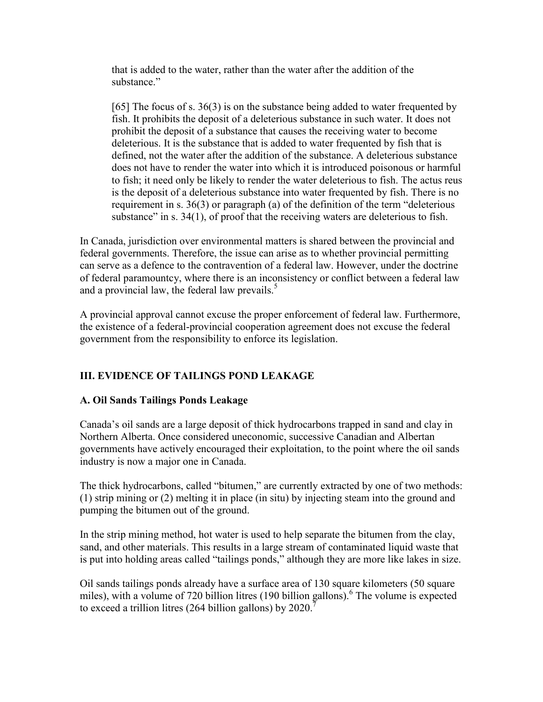that is added to the water, rather than the water after the addition of the substance"

[65] The focus of s. 36(3) is on the substance being added to water frequented by fish. It prohibits the deposit of a deleterious substance in such water. It does not prohibit the deposit of a substance that causes the receiving water to become deleterious. It is the substance that is added to water frequented by fish that is defined, not the water after the addition of the substance. A deleterious substance does not have to render the water into which it is introduced poisonous or harmful to fish; it need only be likely to render the water deleterious to fish. The actus reus is the deposit of a deleterious substance into water frequented by fish. There is no requirement in s. 36(3) or paragraph (a) of the definition of the term "deleterious substance" in s. 34(1), of proof that the receiving waters are deleterious to fish.

In Canada, jurisdiction over environmental matters is shared between the provincial and federal governments. Therefore, the issue can arise as to whether provincial permitting can serve as a defence to the contravention of a federal law. However, under the doctrine of federal paramountcy, where there is an inconsistency or conflict between a federal law and a provincial law, the federal law prevail[s.](#page-13-0) $5$ 

A provincial approval cannot excuse the proper enforcement of federal law. Furthermore, the existence of a federal-provincial cooperation agreement does not excuse the federal government from the responsibility to enforce its legislation.

# **III. EVIDENCE OF TAILINGS POND LEAKAGE**

## **A. Oil Sands Tailings Ponds Leakage**

Canada's oil sands are a large deposit of thick hydrocarbons trapped in sand and clay in Northern Alberta. Once considered uneconomic, successive Canadian and Albertan governments have actively encouraged their exploitation, to the point where the oil sands industry is now a major one in Canada.

The thick hydrocarbons, called "bitumen," are currently extracted by one of two methods: (1) strip mining or (2) melting it in place (in situ) by injecting steam into the ground and pumping the bitumen out of the ground.

In the strip mining method, hot water is used to help separate the bitumen from the clay, sand, and other materials. This results in a large stream of contaminated liquid waste that is put into holding areas called "tailings ponds," although they are more like lakes in size.

Oil sands tailings ponds already have a surface area of 130 square kilometers (50 square miles), with a volume of 720 billion litres (190 billion gallons[\).](#page-13-0)<sup>6</sup> The volume is expected to exceed a trillion litres (264 billion gallons) by  $2020$ .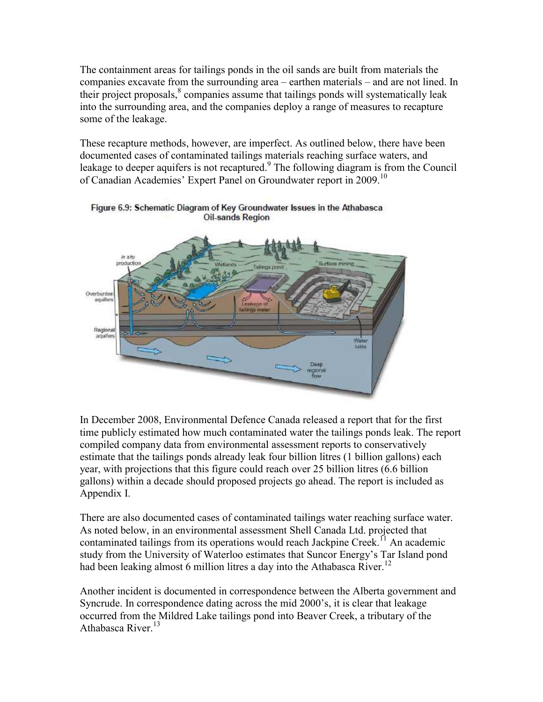The containment areas for tailings ponds in the oil sands are built from materials the companies excavate from the surrounding area – earthen materials – and are not lined. In their project proposals[,](#page-13-0)<sup>8</sup> companies assume that tailings ponds will systematically leak into the surrounding area, and the companies deploy a range of measures to recapture some of the leakage.

These recapture methods, however, are imperfect. As outlined below, there have been documented cases of contaminated tailings materials reaching surface waters, and leakage to deeper aquifers is not recaptured[.](#page-13-0)<sup>9</sup> The following diagram is from the Council of Canadian Academies' Expert Panel on Groundwater report in 2009.<sup>[10](#page-13-0)</sup>



Figure 6.9: Schematic Diagram of Key Groundwater Issues in the Athabasca **Oil-sands Region** 

In December 2008, Environmental Defence Canada released a report that for the first time publicly estimated how much contaminated water the tailings ponds leak. The report compiled company data from environmental assessment reports to conservatively estimate that the tailings ponds already leak four billion litres (1 billion gallons) each year, with projections that this figure could reach over 25 billion litres (6.6 billion gallons) within a decade should proposed projects go ahead. The report is included as Appendix I.

There are also documented cases of contaminated tailings water reaching surface water. As noted below, in an environmental assessment Shell Canada Ltd. projected that contaminated tailings from its operations would reach Jackpine Creek.<sup>[11](#page-13-0)</sup> An academic study from the University of Waterloo estimates that Suncor Energy's Tar Island pond had been leaking almost 6 million litres a day into the Athabasca River.<sup>[12](#page-13-0)</sup>

Another incident is documented in correspondence between the Alberta government and Syncrude. In correspondence dating across the mid 2000's, it is clear that leakage occurred from the Mildred Lake tailings pond into Beaver Creek, a tributary of the Athabasca River.<sup>[13](#page-13-0)</sup>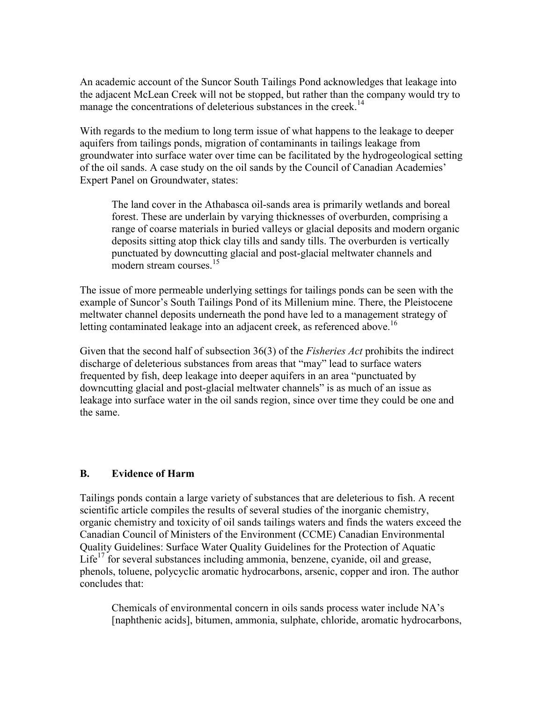An academic account of the Suncor South Tailings Pond acknowledges that leakage into the adjacent McLean Creek will not be stopped, but rather than the company would try to manage the concentrations of deleterious substances in the creek.<sup>[14](#page-13-0)</sup>

With regards to the medium to long term issue of what happens to the leakage to deeper aquifers from tailings ponds, migration of contaminants in tailings leakage from groundwater into surface water over time can be facilitated by the hydrogeological setting of the oil sands. A case study on the oil sands by the Council of Canadian Academies' Expert Panel on Groundwater, states:

The land cover in the Athabasca oil-sands area is primarily wetlands and boreal forest. These are underlain by varying thicknesses of overburden, comprising a range of coarse materials in buried valleys or glacial deposits and modern organic deposits sitting atop thick clay tills and sandy tills. The overburden is vertically punctuated by downcutting glacial and post-glacial meltwater channels and modern stream courses.<sup>[15](#page-13-0)</sup>

The issue of more permeable underlying settings for tailings ponds can be seen with the example of Suncor's South Tailings Pond of its Millenium mine. There, the Pleistocene meltwater channel deposits underneath the pond have led to a management strategy of letting contaminated leakage into an adjacent creek, as referenced above.<sup>[16](#page-13-0)</sup>

Given that the second half of subsection 36(3) of the *Fisheries Act* prohibits the indirect discharge of deleterious substances from areas that "may" lead to surface waters frequented by fish, deep leakage into deeper aquifers in an area "punctuated by downcutting glacial and post-glacial meltwater channels" is as much of an issue as leakage into surface water in the oil sands region, since over time they could be one and the same.

### **B. Evidence of Harm**

Tailings ponds contain a large variety of substances that are deleterious to fish. A recent scientific article compiles the results of several studies of the inorganic chemistry, organic chemistry and toxicity of oil sands tailings waters and finds the waters exceed the Canadian Council of Ministers of the Environment (CCME) Canadian Environmental Quality Guidelines: Surface Water Quality Guidelines for the Protection of Aquatic Life<sup>[17](#page-13-0)</sup> for several substances including ammonia, benzene, cyanide, oil and grease, phenols, toluene, polycyclic aromatic hydrocarbons, arsenic, copper and iron. The author concludes that:

Chemicals of environmental concern in oils sands process water include NA's [naphthenic acids], bitumen, ammonia, sulphate, chloride, aromatic hydrocarbons,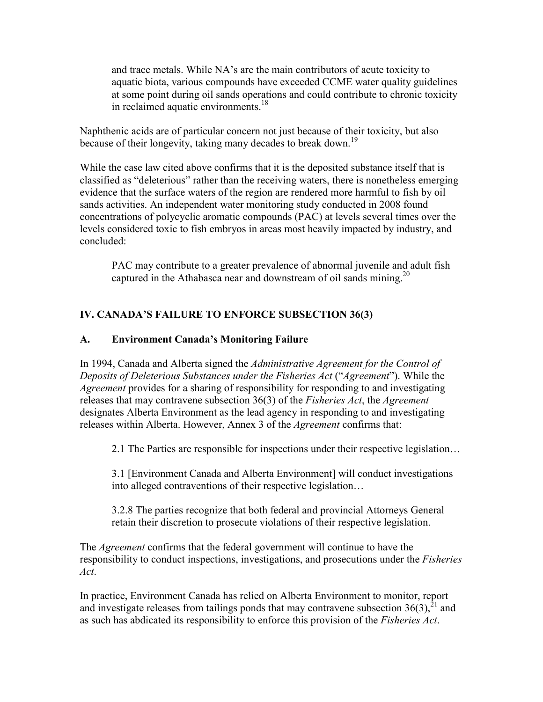<span id="page-6-0"></span>and trace metals. While NA's are the main contributors of acute toxicity to aquatic biota, various compounds have exceeded CCME water quality guidelines at some point during oil sands operations and could contribute to chronic toxicity in reclaimed aquatic environment[s.](#page-13-0)<sup>18</sup>

Naphthenic acids are of particular concern not just because of their toxicity, but also because of their longevity, taking many decades to break down.<sup>[19](#page-13-0)</sup>

While the case law cited above confirms that it is the deposited substance itself that is classified as "deleterious" rather than the receiving waters, there is nonetheless emerging evidence that the surface waters of the region are rendered more harmful to fish by oil sands activities. An independent water monitoring study conducted in 2008 found concentrations of polycyclic aromatic compounds (PAC) at levels several times over the levels considered toxic to fish embryos in areas most heavily impacted by industry, and concluded:

PAC may contribute to a greater prevalence of abnormal juvenile and adult fish captured in the Athabasca near and downstream of oil sands mining.<sup>20</sup>

## **IV. CANADA'S FAILURE TO ENFORCE SUBSECTION 36(3)**

### **A. Environment Canada's Monitoring Failure**

In 1994, Canada and Alberta signed the *Administrative Agreement for the Control of Deposits of Deleterious Substances under the Fisheries Act* ("*Agreement*"). While the *Agreement* provides for a sharing of responsibility for responding to and investigating releases that may contravene subsection 36(3) of the *Fisheries Act*, the *Agreement*  designates Alberta Environment as the lead agency in responding to and investigating releases within Alberta. However, Annex 3 of the *Agreement* confirms that:

2.1 The Parties are responsible for inspections under their respective legislation…

3.1 [Environment Canada and Alberta Environment] will conduct investigations into alleged contraventions of their respective legislation…

3.2.8 The parties recognize that both federal and provincial Attorneys General retain their discretion to prosecute violations of their respective legislation.

The *Agreement* confirms that the federal government will continue to have the responsibility to conduct inspections, investigations, and prosecutions under the *Fisheries Act*.

In practice, Environment Canada has relied on Alberta Environment to monitor, report and investigate releases from tailings ponds that may contravene subsection  $36(3)$ ,  $^{21}$  and as such has abdicated its responsibility to enforce this provision of the *Fisheries Act*.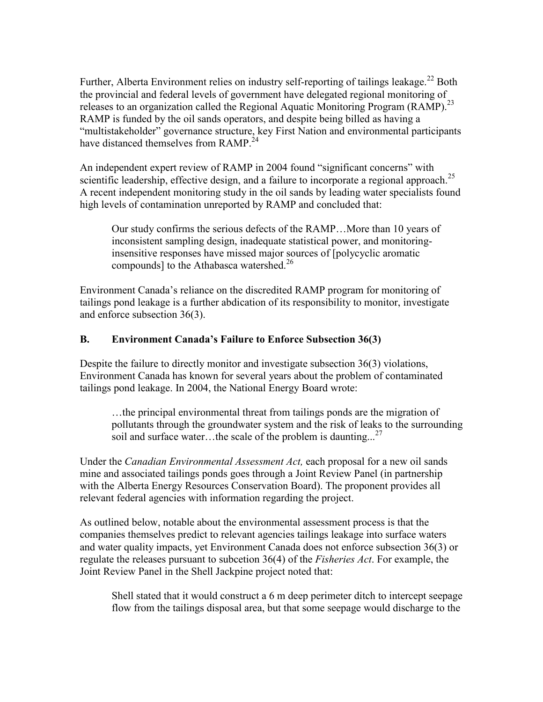Further, Alberta Environment relies on industry self-reporting of tailings leakage.<sup>[22](#page-6-0)</sup> Both the provincial and federal levels of government have delegated regional monitoring of releases to an organization called the Regional Aquatic Monitoring Program (RAMP).<sup>[23](#page-6-0)</sup> RAMP is funded by the oil sands operators, and despite being billed as having a "multistakeholder" governance structure, key First Nation and environmental participants have distanced themselves from RAMP.<sup>[24](#page-6-0)</sup>

An independent expert review of RAMP in 2004 found "significant concerns" with scientific leadership, effective design, and a failure to incorporate a regional approach.<sup>[25](#page-6-0)</sup> A recent independent monitoring study in the oil sands by leading water specialists found high levels of contamination unreported by RAMP and concluded that:

Our study confirms the serious defects of the RAMP…More than 10 years of inconsistent sampling design, inadequate statistical power, and monitoringinsensitive responses have missed major sources of [polycyclic aromatic compounds] to the Athabasca watershed.<sup>[26](#page-6-0)</sup>

Environment Canada's reliance on the discredited RAMP program for monitoring of tailings pond leakage is a further abdication of its responsibility to monitor, investigate and enforce subsection 36(3).

### **B. Environment Canada's Failure to Enforce Subsection 36(3)**

Despite the failure to directly monitor and investigate subsection 36(3) violations, Environment Canada has known for several years about the problem of contaminated tailings pond leakage. In 2004, the National Energy Board wrote:

…the principal environmental threat from tailings ponds are the migration of pollutants through the groundwater system and the risk of leaks to the surrounding soil and surface water...the scale of the problem is daunting...<sup>[27](#page-6-0)</sup>

Under the *Canadian Environmental Assessment Act,* each proposal for a new oil sands mine and associated tailings ponds goes through a Joint Review Panel (in partnership with the Alberta Energy Resources Conservation Board). The proponent provides all relevant federal agencies with information regarding the project.

As outlined below, notable about the environmental assessment process is that the companies themselves predict to relevant agencies tailings leakage into surface waters and water quality impacts, yet Environment Canada does not enforce subsection 36(3) or regulate the releases pursuant to subcetion 36(4) of the *Fisheries Act*. For example, the Joint Review Panel in the Shell Jackpine project noted that:

Shell stated that it would construct a 6 m deep perimeter ditch to intercept seepage flow from the tailings disposal area, but that some seepage would discharge to the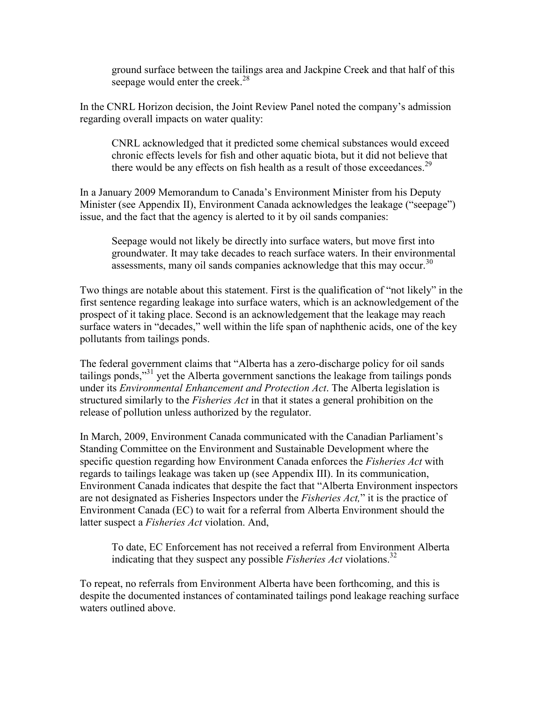ground surface between the tailings area and Jackpine Creek and that half of this seepage would enter the creek.<sup>[28](#page-6-0)</sup>

In the CNRL Horizon decision, the Joint Review Panel noted the company's admission regarding overall impacts on water quality:

CNRL acknowledged that it predicted some chemical substances would exceed chronic effects levels for fish and other aquatic biota, but it did not believe that there would be any effects on fish health as a result of those exceedances.<sup>[29](#page-6-0)</sup>

In a January 2009 Memorandum to Canada's Environment Minister from his Deputy Minister (see Appendix II), Environment Canada acknowledges the leakage ("seepage") issue, and the fact that the agency is alerted to it by oil sands companies:

Seepage would not likely be directly into surface waters, but move first into groundwater. It may take decades to reach surface waters. In their environmental assessments, many oil sands companies acknowledge that this may occur.<sup>[30](#page-6-0)</sup>

Two things are notable about this statement. First is the qualification of "not likely" in the first sentence regarding leakage into surface waters, which is an acknowledgement of the prospect of it taking place. Second is an acknowledgement that the leakage may reach surface waters in "decades," well within the life span of naphthenic acids, one of the key pollutants from tailings ponds.

The federal government claims that "Alberta has a zero-discharge policy for oil sands tailings ponds,"<sup>[31](#page-6-0)</sup> yet the Alberta government sanctions the leakage from tailings ponds under its *Environmental Enhancement and Protection Act*. The Alberta legislation is structured similarly to the *Fisheries Act* in that it states a general prohibition on the release of pollution unless authorized by the regulator.

In March, 2009, Environment Canada communicated with the Canadian Parliament's Standing Committee on the Environment and Sustainable Development where the specific question regarding how Environment Canada enforces the *Fisheries Act* with regards to tailings leakage was taken up (see Appendix III). In its communication, Environment Canada indicates that despite the fact that "Alberta Environment inspectors are not designated as Fisheries Inspectors under the *Fisheries Act,*" it is the practice of Environment Canada (EC) to wait for a referral from Alberta Environment should the latter suspect a *Fisheries Act* violation. And,

To date, EC Enforcement has not received a referral from Environment Alberta indicating that they suspect any possible *Fisheries Act* violation[s.](#page-6-0)<sup>32</sup>

To repeat, no referrals from Environment Alberta have been forthcoming, and this is despite the documented instances of contaminated tailings pond leakage reaching surface waters outlined above.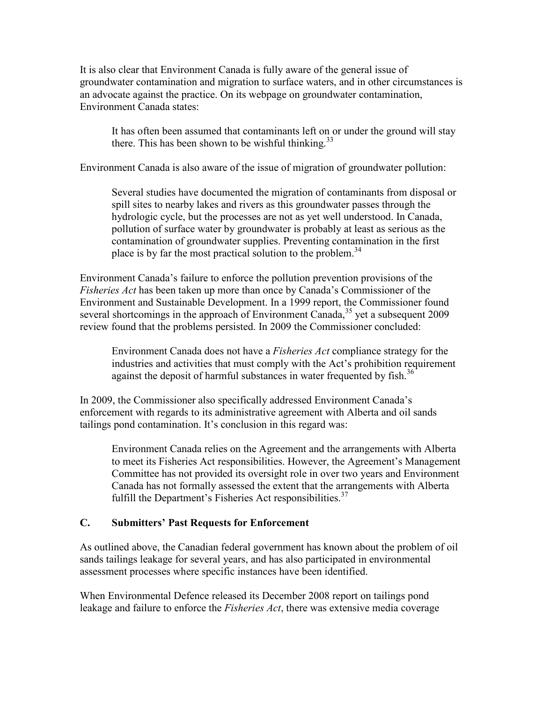It is also clear that Environment Canada is fully aware of the general issue of groundwater contamination and migration to surface waters, and in other circumstances is an advocate against the practice. On its webpage on groundwater contamination, Environment Canada states:

It has often been assumed that contaminants left on or under the ground will stay there. This has been shown to be wishful thinking. $33$ 

Environment Canada is also aware of the issue of migration of groundwater pollution:

Several studies have documented the migration of contaminants from disposal or spill sites to nearby lakes and rivers as this groundwater passes through the hydrologic cycle, but the processes are not as yet well understood. In Canada, pollution of surface water by groundwater is probably at least as serious as the contamination of groundwater supplies. Preventing contamination in the first place is by far the most practical solution to the problem.<sup>[34](#page-6-0)</sup>

Environment Canada's failure to enforce the pollution prevention provisions of the *Fisheries Act* has been taken up more than once by Canada's Commissioner of the Environment and Sustainable Development. In a 1999 report, the Commissioner found several shortcomings in the approach of Environment Canada,<sup>[35](#page-6-0)</sup> yet a subsequent 2009 review found that the problems persisted. In 2009 the Commissioner concluded:

Environment Canada does not have a *Fisheries Act* compliance strategy for the industries and activities that must comply with the Act's prohibition requirement against the deposit of harmful substances in water frequented by fish.<sup>[36](#page-6-0)</sup>

In 2009, the Commissioner also specifically addressed Environment Canada's enforcement with regards to its administrative agreement with Alberta and oil sands tailings pond contamination. It's conclusion in this regard was:

Environment Canada relies on the Agreement and the arrangements with Alberta to meet its Fisheries Act responsibilities. However, the Agreement's Management Committee has not provided its oversight role in over two years and Environment Canada has not formally assessed the extent that the arrangements with Alberta fulfill the Department's Fisheries Act responsibilities. $37$ 

## **C. Submitters' Past Requests for Enforcement**

As outlined above, the Canadian federal government has known about the problem of oil sands tailings leakage for several years, and has also participated in environmental assessment processes where specific instances have been identified.

When Environmental Defence released its December 2008 report on tailings pond leakage and failure to enforce the *Fisheries Act*, there was extensive media coverage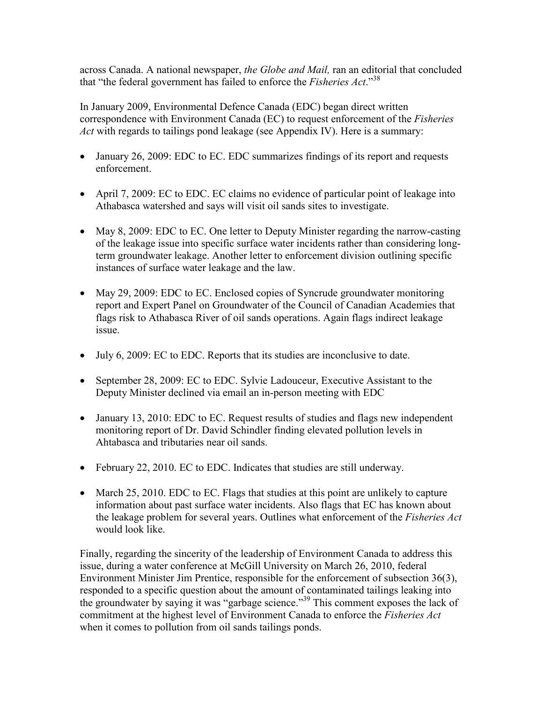across Canada. A national newspaper, *the Globe and Mail,* ran an editorial that concluded that "the federal government has failed to enforce the *Fisheries Act*."[38](#page-6-0)

In January 2009, Environmental Defence Canada (EDC) began direct written correspondence with Environment Canada (EC) to request enforcement of the *Fisheries Act* with regards to tailings pond leakage (see Appendix IV). Here is a summary:

- January 26, 2009: EDC to EC. EDC summarizes findings of its report and requests enforcement.
- April 7, 2009: EC to EDC. EC claims no evidence of particular point of leakage into Athabasca watershed and says will visit oil sands sites to investigate.
- May 8, 2009: EDC to EC. One letter to Deputy Minister regarding the narrow-casting of the leakage issue into specific surface water incidents rather than considering longterm groundwater leakage. Another letter to enforcement division outlining specific instances of surface water leakage and the law.
- May 29, 2009: EDC to EC. Enclosed copies of Syncrude groundwater monitoring report and Expert Panel on Groundwater of the Council of Canadian Academies that flags risk to Athabasca River of oil sands operations. Again flags indirect leakage issue.
- July 6, 2009: EC to EDC. Reports that its studies are inconclusive to date.
- September 28, 2009: EC to EDC. Sylvie Ladouceur, Executive Assistant to the Deputy Minister declined via email an in-person meeting with EDC
- January 13, 2010: EDC to EC. Request results of studies and flags new independent monitoring report of Dr. David Schindler finding elevated pollution levels in Ahtabasca and tributaries near oil sands.
- February 22, 2010. EC to EDC. Indicates that studies are still underway.
- March 25, 2010. EDC to EC. Flags that studies at this point are unlikely to capture information about past surface water incidents. Also flags that EC has known about the leakage problem for several years. Outlines what enforcement of the *Fisheries Act* would look like.

Finally, regarding the sincerity of the leadership of Environment Canada to address this issue, during a water conference at McGill University on March 26, 2010, federal Environment Minister Jim Prentice, responsible for the enforcement of subsection 36(3), responded to a specific question about the amount of contaminated tailings leaking into the groundwater by saying it was "garbage science."<sup>[39](#page-6-0)</sup> This comment exposes the lack of commitment at the highest level of Environment Canada to enforce the *Fisheries Act* when it comes to pollution from oil sands tailings ponds.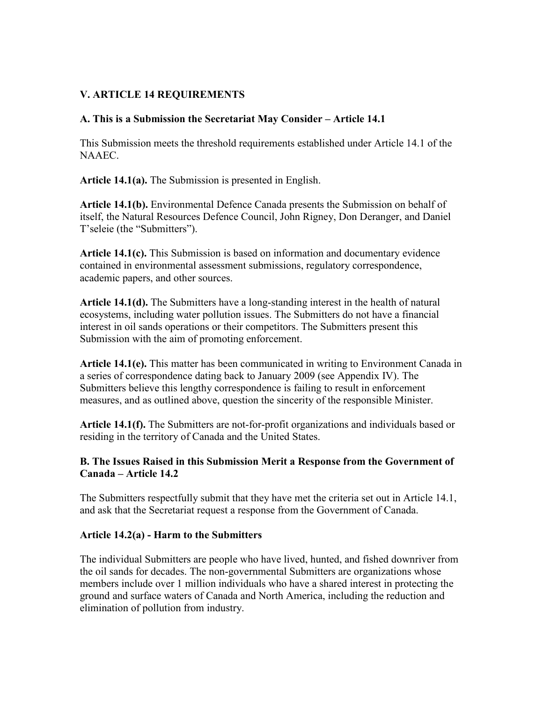### **V. ARTICLE 14 REQUIREMENTS**

### **A. This is a Submission the Secretariat May Consider – Article 14.1**

This Submission meets the threshold requirements established under Article 14.1 of the NAAEC.

**Article 14.1(a).** The Submission is presented in English.

**Article 14.1(b).** Environmental Defence Canada presents the Submission on behalf of itself, the Natural Resources Defence Council, John Rigney, Don Deranger, and Daniel T'seleie (the "Submitters").

**Article 14.1(c).** This Submission is based on information and documentary evidence contained in environmental assessment submissions, regulatory correspondence, academic papers, and other sources.

**Article 14.1(d).** The Submitters have a long-standing interest in the health of natural ecosystems, including water pollution issues. The Submitters do not have a financial interest in oil sands operations or their competitors. The Submitters present this Submission with the aim of promoting enforcement.

**Article 14.1(e).** This matter has been communicated in writing to Environment Canada in a series of correspondence dating back to January 2009 (see Appendix IV). The Submitters believe this lengthy correspondence is failing to result in enforcement measures, and as outlined above, question the sincerity of the responsible Minister.

**Article 14.1(f).** The Submitters are not-for-profit organizations and individuals based or residing in the territory of Canada and the United States.

### **B. The Issues Raised in this Submission Merit a Response from the Government of Canada – Article 14.2**

The Submitters respectfully submit that they have met the criteria set out in Article 14.1, and ask that the Secretariat request a response from the Government of Canada.

#### **Article 14.2(a) - Harm to the Submitters**

The individual Submitters are people who have lived, hunted, and fished downriver from the oil sands for decades. The non-governmental Submitters are organizations whose members include over 1 million individuals who have a shared interest in protecting the ground and surface waters of Canada and North America, including the reduction and elimination of pollution from industry.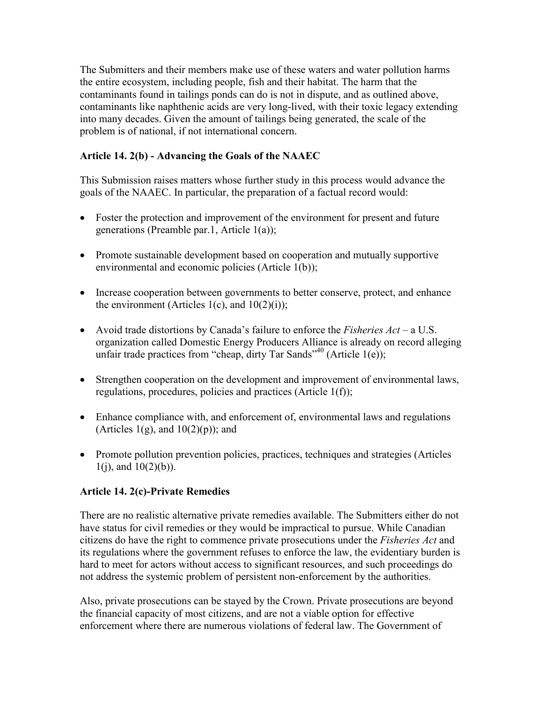The Submitters and their members make use of these waters and water pollution harms the entire ecosystem, including people, fish and their habitat. The harm that the contaminants found in tailings ponds can do is not in dispute, and as outlined above, contaminants like naphthenic acids are very long-lived, with their toxic legacy extending into many decades. Given the amount of tailings being generated, the scale of the problem is of national, if not international concern.

## **Article 14. 2(b) - Advancing the Goals of the NAAEC**

This Submission raises matters whose further study in this process would advance the goals of the NAAEC. In particular, the preparation of a factual record would:

- Foster the protection and improvement of the environment for present and future generations (Preamble par.1, Article 1(a));
- Promote sustainable development based on cooperation and mutually supportive environmental and economic policies (Article 1(b));
- Increase cooperation between governments to better conserve, protect, and enhance the environment (Articles  $1(c)$ , and  $10(2)(i)$ );
- Avoid trade distortions by Canada's failure to enforce the *Fisheries Act* a U.S. organization called Domestic Energy Producers Alliance is already on record alleging unfair trade practices from "cheap, dirty Tar Sands"<sup>[40](#page-6-0)</sup> (Article 1(e));
- Strengthen cooperation on the development and improvement of environmental laws, regulations, procedures, policies and practices (Article 1(f));
- Enhance compliance with, and enforcement of, environmental laws and regulations (Articles  $1(g)$ , and  $10(2)(p)$ ); and
- Promote pollution prevention policies, practices, techniques and strategies (Articles  $1(j)$ , and  $10(2)(b)$ ).

### **Article 14. 2(c)-Private Remedies**

There are no realistic alternative private remedies available. The Submitters either do not have status for civil remedies or they would be impractical to pursue. While Canadian citizens do have the right to commence private prosecutions under the *Fisheries Act* and its regulations where the government refuses to enforce the law, the evidentiary burden is hard to meet for actors without access to significant resources, and such proceedings do not address the systemic problem of persistent non-enforcement by the authorities.

Also, private prosecutions can be stayed by the Crown. Private prosecutions are beyond the financial capacity of most citizens, and are not a viable option for effective enforcement where there are numerous violations of federal law. The Government of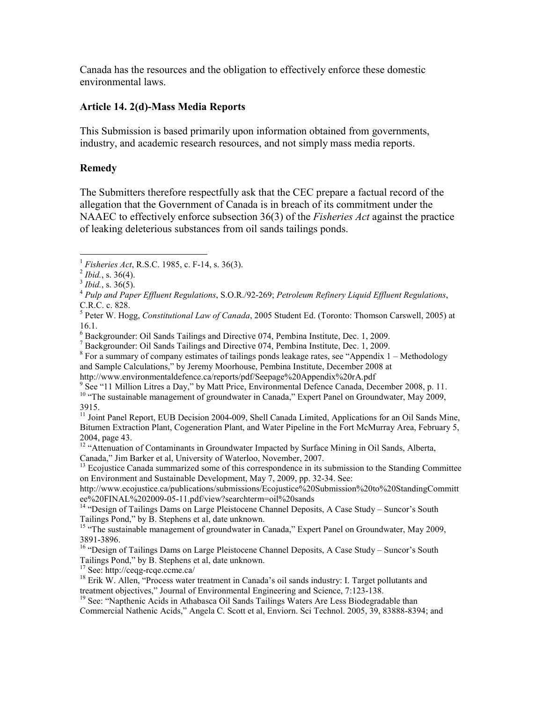<span id="page-13-0"></span>Canada has the resources and the obligation to effectively enforce these domestic environmental laws.

#### **Article 14. 2(d)-Mass Media Reports**

This Submission is based primarily upon information obtained from governments, industry, and academic research resources, and not simply mass media reports.

### **Remedy**

The Submitters therefore respectfully ask that the CEC prepare a factual record of the allegation that the Government of Canada is in breach of its commitment under the NAAEC to effectively enforce subsection 36(3) of the *Fisheries Act* against the practice of leaking deleterious substances from oil sands tailings ponds.

<sup>17</sup> See: http://ceqg-rcqe.ccme.ca/

 $\overline{a}$ <sup>1</sup> *Fisheries Act*, R.S.C. 1985, c. F-14, s. 36(3).

<sup>2</sup> *Ibid.*, s. 36(4).

<sup>3</sup> *Ibid.*, s. 36(5).

<sup>4</sup> *Pulp and Paper Effluent Regulations*, S.O.R./92-269; *Petroleum Refinery Liquid Effluent Regulations*, C.R.C. c. 828.

<sup>5</sup> Peter W. Hogg, *Constitutional Law of Canada*, 2005 Student Ed. (Toronto: Thomson Carswell, 2005) at 16.1.

<sup>&</sup>lt;sup>6</sup> Backgrounder: Oil Sands Tailings and Directive 074, Pembina Institute, Dec. 1, 2009.

 $7$  Backgrounder: Oil Sands Tailings and Directive 074, Pembina Institute, Dec. 1, 2009.

 $8$  For a summary of company estimates of tailings ponds leakage rates, see "Appendix 1 – Methodology and Sample Calculations," by Jeremy Moorhouse, Pembina Institute, December 2008 at http://www.environmentaldefence.ca/reports/pdf/Seepage%20Appendix%20rA.pdf

<sup>&</sup>lt;sup>9</sup> See "11 Million Litres a Day," by Matt Price, Environmental Defence Canada, December 2008, p. 11. <sup>10</sup> "The sustainable management of groundwater in Canada," Expert Panel on Groundwater, May 2009,

<sup>3915.</sup> 

<sup>&</sup>lt;sup>11</sup> Joint Panel Report, EUB Decision 2004-009, Shell Canada Limited, Applications for an Oil Sands Mine, Bitumen Extraction Plant, Cogeneration Plant, and Water Pipeline in the Fort McMurray Area, February 5, 2004, page 43.

<sup>&</sup>lt;sup>12</sup> "Attenuation of Contaminants in Groundwater Impacted by Surface Mining in Oil Sands, Alberta, Canada," Jim Barker et al, University of Waterloo, November, 2007.

<sup>&</sup>lt;sup>13</sup> Ecojustice Canada summarized some of this correspondence in its submission to the Standing Committee on Environment and Sustainable Development, May 7, 2009, pp. 32-34. See:

http://www.ecojustice.ca/publications/submissions/Ecojustice%20Submission%20to%20StandingCommitt ee%20FINAL%202009-05-11.pdf/view?searchterm=oil%20sands

<sup>&</sup>lt;sup>14</sup> "Design of Tailings Dams on Large Pleistocene Channel Deposits, A Case Study – Suncor's South Tailings Pond," by B. Stephens et al, date unknown.

<sup>&</sup>lt;sup>15</sup> "The sustainable management of groundwater in Canada," Expert Panel on Groundwater, May 2009, 3891-3896.

<sup>&</sup>lt;sup>16</sup> "Design of Tailings Dams on Large Pleistocene Channel Deposits, A Case Study – Suncor's South Tailings Pond," by B. Stephens et al, date unknown.

<sup>&</sup>lt;sup>18</sup> Erik W. Allen, "Process water treatment in Canada's oil sands industry: I. Target pollutants and treatment objectives," Journal of Environmental Engineering and Science, 7:123-138.

<sup>&</sup>lt;sup>19</sup> See: "Napthenic Acids in Athabasca Oil Sands Tailings Waters Are Less Biodegradable than Commercial Nathenic Acids," Angela C. Scott et al, Enviorn. Sci Technol. 2005, 39, 83888-8394; and